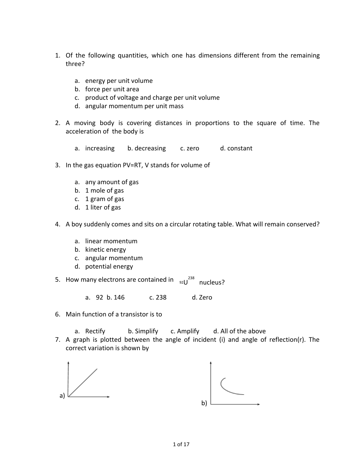- 1. Of the following quantities, which one has dimensions different from the remaining three?
	- a. energy per unit volume
	- b. force per unit area
	- c. product of voltage and charge per unit volume
	- d. angular momentum per unit mass
- 2. A moving body is covering distances in proportions to the square of time. The acceleration of the body is
	- a. increasing b. decreasing c. zero d. constant
- 3. In the gas equation PV=RT, V stands for volume of
	- a. any amount of gas
	- b. 1 mole of gas
	- c. 1 gram of gas
	- d. 1 liter of gas
- 4. A boy suddenly comes and sits on a circular rotating table. What will remain conserved?
	- a. linear momentum
	- b. kinetic energy
	- c. angular momentum
	- d. potential energy
- 5. How many electrons are contained in  $\frac{1}{92}$   $\frac{1}{238}$  nucleus?
	- a. 92 b. 146 c. 238 d. Zero
- 6. Main function of a transistor is to
	- a. Rectify b. Simplify c. Amplify d. All of the above
- 7. A graph is plotted between the angle of incident (i) and angle of reflection(r). The correct variation is shown by

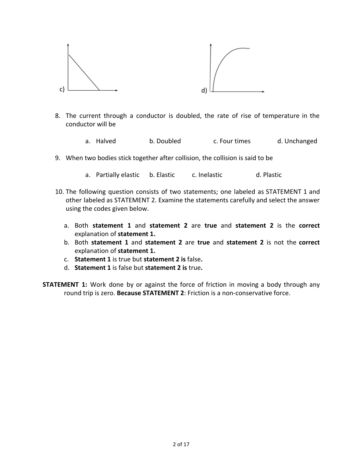

- 8. The current through a conductor is doubled, the rate of rise of temperature in the conductor will be
	- a. Halved b. Doubled c. Four times d. Unchanged
- 9. When two bodies stick together after collision, the collision is said to be
	- a. Partially elastic b. Elastic c. Inelastic d. Plastic
- 10. The following question consists of two statements; one labeled as STATEMENT 1 and other labeled as STATEMENT 2. Examine the statements carefully and select the answer using the codes given below.
	- a. Both **statement 1** and **statement 2** are **true** and **statement 2** is the **correct** explanation of **statement 1.**
	- b. Both **statement 1** and **statement 2** are **true** and **statement 2** is not the **correct** explanation of **statement 1.**
	- c. **Statement 1** is true but **statement 2 is** false**.**
	- d. **Statement 1** is false but **statement 2 is** true**.**
- **STATEMENT 1:** Work done by or against the force of friction in moving a body through any round trip is zero. **Because STATEMENT 2**: Friction is a non-conservative force.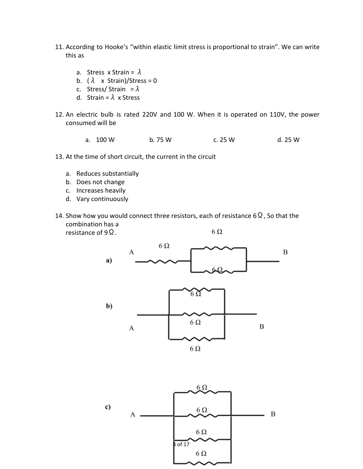- 11. According to Hooke's "within elastic limit stress is proportional to strain". We can write this as
	- a. Stress x Strain =  $\lambda$
	- b. ( $\lambda$  x Strain)/Stress = 0
	- c. Stress/ Strain =  $\lambda$
	- d. Strain =  $\lambda$  x Stress
- 12. An electric bulb is rated 220V and 100 W. When it is operated on 110V, the power consumed will be
	- a. 100 W b. 75 W c. 25 W d. 25 W
- 13. At the time of short circuit, the current in the circuit
	- a. Reduces substantially
	- b. Does not change
	- c. Increases heavily
	- d. Vary continuously
- 14. Show how you would connect three resistors, each of resistance 6  $\Omega$ , So that the combination has a 6Ω resistance of 9Ω.



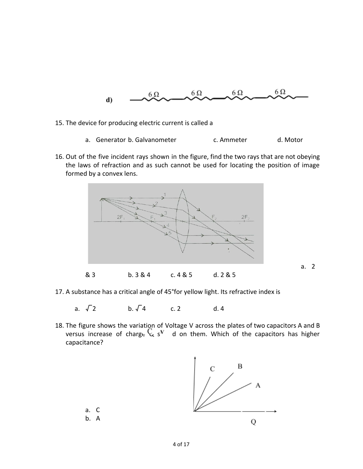

- 15. The device for producing electric current is called a
	- a. Generator b. Galvanometer c. Ammeter d. Motor
- 16. Out of the five incident rays shown in the figure, find the two rays that are not obeying the laws of refraction and as such cannot be used for locating the position of image formed by a convex lens.



- 17. A substance has a critical angle of 45°for yellow light. Its refractive index is
	- a.  $\sqrt{2}$  b.  $\sqrt{4}$  c. 2 d. 4
- 18. The figure shows the variation of Voltage V across the plates of two capacitors A and B versus increase of charge  $\forall$  s<sup>v</sup> d on them. Which of the capacitors has higher capacitance?

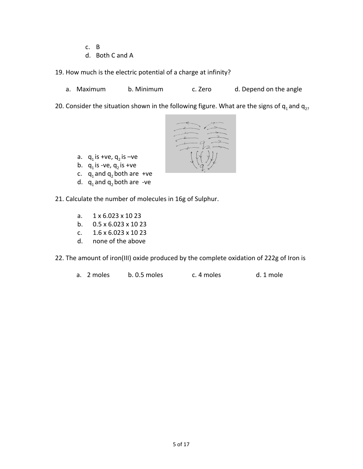- c. B
- d. Both C and A

19. How much is the electric potential of a charge at infinity?

a. Maximum b. Minimum c. Zero d. Depend on the angle

20. Consider the situation shown in the following figure. What are the signs of  $q_1$  and  $q_{2}$ ?



- a.  $q_1$  is +ve,  $q_2$  is -ve
- b.  $q_1$  is -ve,  $q_2$  is +ve
- c.  $q_1$  and  $q_2$  both are +ve
- d.  $q_1$  and  $q_2$  both are -ve

21. Calculate the number of molecules in 16g of Sulphur.

- a. 1 x 6.023 x 10 23
- b. 0.5 x 6.023 x 10 23
- c. 1.6 x 6.023 x 10 23
- d. none of the above

22. The amount of iron(III) oxide produced by the complete oxidation of 222g of Iron is

a. 2 moles b. 0.5 moles c. 4 moles d. 1 mole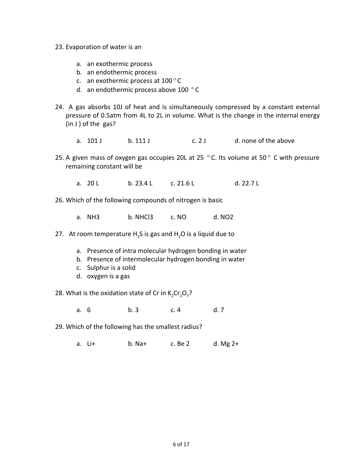- 23. Evaporation of water is an
	- a. an exothermic process
	- b. an endothermic process
	- c. an exothermic process at 100 ° C
	- d. an endothermic process above 100 ° C
- 24. A gas absorbs 10J of heat and is simultaneously compressed by a constant external pressure of 0.5atm from 4L to 2L in volume. What is the change in the internal energy (in J ) of the gas?
	- a. 101 J b. 111 J c. 2 J d. none of the above
- 25. A given mass of oxygen gas occupies 20L at 25  $\degree$  C. Its volume at 50 $\degree$  C with pressure remaining constant will be
	- a. 20 L b. 23.4 L c. 21.6 L d. 22.7 L
- 26. Which of the following compounds of nitrogen is basic
	- a. NH3 b. NHCl3 c. NO d. NO2
- 27. At room temperature H<sub>2</sub>S is gas and H<sub>2</sub>O is a liquid due to
	- a. Presence of intra molecular hydrogen bonding in water
	- b. Presence of intermolecular hydrogen bonding in water
	- c. Sulphur is a solid
	- d. oxygen is a gas
- 28. What is the oxidation state of Cr in  $K_2Cr_2O_7$ ?
	- a. 6 b. 3 c. 4 d. 7
- 29. Which of the following has the smallest radius?
	- a. Li+ b. Na+ c. Be 2 d. Mg 2+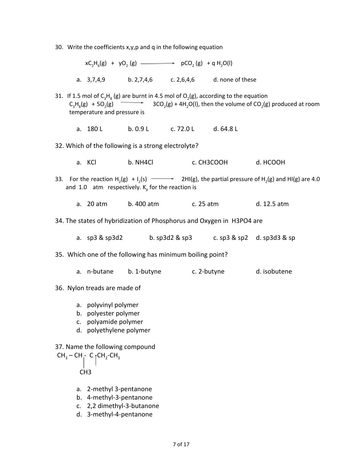30. Write the coefficients x,y,p and q in the following equation

 $xC_2H_6(g) + yO_2(g)$  (g)  $\longrightarrow$  pCO<sub>2</sub>(g) + q H<sub>2</sub>O(l) a. 3,7,4,9 b. 2,7,4,6 c. 2,6,4,6 d. none of these

- 31. If 1.5 mol of  $C_3H_8$  (g) are burnt in 4.5 mol of  $O_2$ (g), according to the equation  $C_3H_8(g) + 5O_2(g)$  - 3CO<sub>2</sub> (g) + 4H<sub>2</sub>O(I), then the volume of CO<sub>2</sub>(g) produced at room temperature and pressure is
	- a. 180 L b. 0.9 L c. 72.0 L d. 64.8 L
- 32. Which of the following is a strong electrolyte?
	- a. KCl b. NH4Cl c. CH3COOH d. HCOOH
- 33. For the reaction  $H_2(g) + I_2(s)$   $\longrightarrow$  2HI(g), the partial pressure of  $H_2(g)$  and HI(g) are 4.0 and 1.0 atm respectively.  $\mathsf{K}_p$  for the reaction is
	- a. 20 atm b. 400 atm c. 25 atm d. 12.5 atm
- 34. The states of hybridization of Phosphorus and Oxygen in H3PO4 are
	- a. sp3 & sp3d2 b. sp3d2 & sp3 c. sp3 & sp2 d. sp3d3 & sp

#### 35. Which one of the following has minimum boiling point?

- a. n-butane b. 1-butyne c. 2-butyne d. isobutene
- 36. Nylon treads are made of
	- a. polyvinyl polymer
	- b. polyester polymer
	- c. polyamide polymer
	- d. polyethylene polymer

37. Name the following compound  $CH_3-CH_1$ - C  ${}_{\uparrow}$ CH<sub>2</sub>-CH<sub>3</sub> CH3

- a. 2-methyl 3-pentanone
- b. 4-methyl-3-pentanone
- c. 2,2 dimethyl-3-butanone
- d. 3-methyl-4-pentanone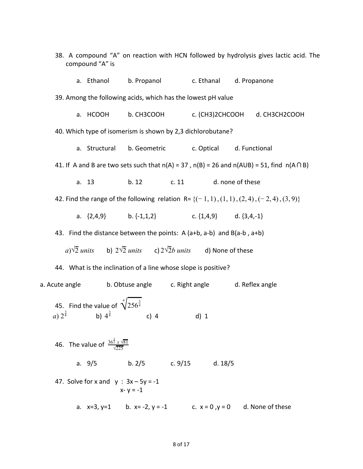|                                                                                                | compound "A" is                                     |                                                                                 |                          | 38. A compound "A" on reaction with HCN followed by hydrolysis gives lactic acid. The                  |  |  |  |  |  |
|------------------------------------------------------------------------------------------------|-----------------------------------------------------|---------------------------------------------------------------------------------|--------------------------|--------------------------------------------------------------------------------------------------------|--|--|--|--|--|
|                                                                                                | a. Ethanol                                          | b. Propanol c. Ethanal d. Propanone                                             |                          |                                                                                                        |  |  |  |  |  |
|                                                                                                |                                                     | 39. Among the following acids, which has the lowest pH value                    |                          |                                                                                                        |  |  |  |  |  |
|                                                                                                | a. HCOOH                                            | b. CH3COOH                                                                      |                          | c. (CH3)2CHCOOH d. CH3CH2COOH                                                                          |  |  |  |  |  |
| 40. Which type of isomerism is shown by 2,3 dichlorobutane?                                    |                                                     |                                                                                 |                          |                                                                                                        |  |  |  |  |  |
|                                                                                                |                                                     | a. Structural b. Geometric                                                      | c. Optical d. Functional |                                                                                                        |  |  |  |  |  |
|                                                                                                |                                                     |                                                                                 |                          | 41. If A and B are two sets such that $n(A) = 37$ , $n(B) = 26$ and $n(AUB) = 51$ , find $n(A \cap B)$ |  |  |  |  |  |
|                                                                                                | a. 13                                               | b. 12<br>c. 11                                                                  |                          | d. none of these                                                                                       |  |  |  |  |  |
| 42. Find the range of the following relation R= $\{(-1, 1), (1, 1), (2, 4), (-2, 4), (3, 9)\}$ |                                                     |                                                                                 |                          |                                                                                                        |  |  |  |  |  |
|                                                                                                |                                                     | a. $\{2,4,9\}$ b. $\{-1,1,2\}$ c. $\{1,4,9\}$ d. $\{3,4,-1\}$                   |                          |                                                                                                        |  |  |  |  |  |
| 43. Find the distance between the points: $A(a+b, a-b)$ and $B(a-b, a+b)$                      |                                                     |                                                                                 |                          |                                                                                                        |  |  |  |  |  |
|                                                                                                |                                                     | a) $\sqrt{2}$ units b) $2\sqrt{2}$ units c) $2\sqrt{2}b$ units d) None of these |                          |                                                                                                        |  |  |  |  |  |
| 44. What is the inclination of a line whose slope is positive?                                 |                                                     |                                                                                 |                          |                                                                                                        |  |  |  |  |  |
|                                                                                                |                                                     | a. Acute angle b. Obtuse angle c. Right angle d. Reflex angle                   |                          |                                                                                                        |  |  |  |  |  |
|                                                                                                | 45. Find the value of $\sqrt[4]{256^{\frac{3}{4}}}$ | a) $2^{\frac{3}{4}}$ b) $4^{\frac{3}{4}}$ c) 4 d) 1                             |                          |                                                                                                        |  |  |  |  |  |
| 46. The value of $\frac{36^{\frac{1}{2}}x\sqrt{81}}{\sqrt{225}}$                               |                                                     |                                                                                 |                          |                                                                                                        |  |  |  |  |  |
|                                                                                                |                                                     | a. 9/5 b. 2/5 c. 9/15 d. 18/5                                                   |                          |                                                                                                        |  |  |  |  |  |
|                                                                                                | 47. Solve for x and $y : 3x - 5y = -1$              | $x - y = -1$                                                                    |                          |                                                                                                        |  |  |  |  |  |
|                                                                                                |                                                     | a. $x=3$ , $y=1$ b. $x=-2$ , $y=-1$ c. $x=0$ , $y=0$ d. None of these           |                          |                                                                                                        |  |  |  |  |  |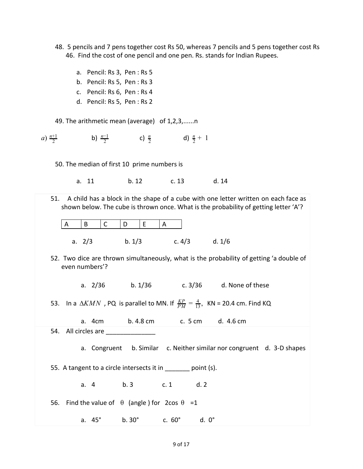- 48. 5 pencils and 7 pens together cost Rs 50, whereas 7 pencils and 5 pens together cost Rs 46. Find the cost of one pencil and one pen. Rs. stands for Indian Rupees.
	- a. Pencil: Rs 3, Pen : Rs 5
	- b. Pencil: Rs 5, Pen : Rs 3
	- c. Pencil: Rs 6, Pen : Rs 4
	- d. Pencil: Rs 5, Pen : Rs 2

49. The arithmetic mean (average) of 1,2,3,......n

*a*)  $\frac{n+1}{2}$  **b)**  $\frac{n-1}{2}$  **c)**  $\frac{n}{2}$  **d)** 2 *n*−1  $\frac{n}{2}$  **d)**  $\frac{n}{2}$  + 1

50. The median of first 10 prime numbers is

a. 11 b. 12 c. 13 d. 14

51. A child has a block in the shape of a cube with one letter written on each face as shown below. The cube is thrown once. What is the probability of getting letter 'A'? A |B |C |D |E |A a. 2/3 b. 1/3 c. 4/3 d. 1/6 52. Two dice are thrown simultaneously, what is the probability of getting 'a double of even numbers'? a. 2/36 b. 1/36 c. 3/36 d. None of these 53. In a  $\Delta KMN$  , PQ is parallel to MN. If  $\frac{KP}{PM} = \frac{4}{13}$ , KN = 20.4 cm. Find KQ 13 a. 4cm b. 4.8 cm c. 5 cm d. 4.6 cm 54. All circles are a. Congruent b. Similar c. Neither similar nor congruent d. 3-D shapes 55. A tangent to a circle intersects it in \_\_\_\_\_\_ point (s). a. 4 b. 3 c. 1 d. 2 56. Find the value of  $θ$  (angle) for 2cos  $θ =1$ a. 45° b. 30° c. 60° d. 0°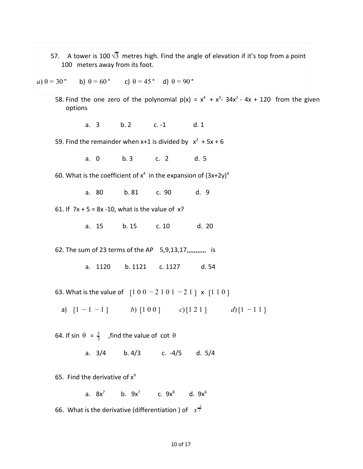57. A tower is 100  $\sqrt{3}$  metres high. Find the angle of elevation if it's top from a point 100 meters away from its foot.

$$
(a) \theta = 30^{\circ} \qquad \text{b) } \theta = 60^{\circ} \qquad \text{c) } \theta = 45^{\circ} \qquad \text{d) } \theta = 90^{\circ}
$$

- 58. Find the one zero of the polynomial  $p(x) = x^4 + x^3 34x^2 4x + 120$  from the given options
	- a. 3 b. 2 c. -1 d. 1
- 59. Find the remainder when  $x+1$  is divided by  $x^2 + 5x + 6$ 
	- a. 0 b. 3 c. 2 d. 5
- 60. What is the coefficient of  $x^4$  in the expansion of  $(3x+2y)^4$ 
	- a. 80 b. 81 c. 90 d. 9

61. If  $7x + 5 = 8x - 10$ , what is the value of  $x$ ?

a. 15 b. 15 c. 10 d. 20

62. The sum of 23 terms of the AP 5,9,13,17,,,,,,,,,,, is

a. 1120 b. 1121 c. 1127 d. 54

63. What is the value of  $[1 0 0 - 2 1 0 1 - 2 1]$  x  $[1 1 0]$ 

a)  $[1 - 1 - 1]$  *b*)  $[1 0 0]$  *c*) $[1 2 1]$  *d*) $[1 - 1 1]$ 

64. If sin  $\theta = \frac{3}{5}$ , find the value of cot  $\theta$ 

a. 3/4 b. 4/3 c. -4/5 d. 5/4

65. Find the derivative of  $x^9$ 

a.  $8x^7$ b.  $9x^7$  c.  $9x^8$  d.  $9x^6$ 

66. What is the derivative (differentiation ) of  $x^{\frac{-3}{2}}$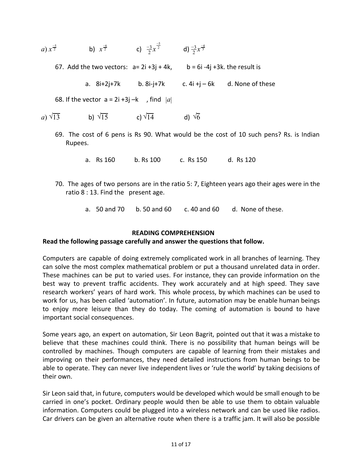| a) $x^{\frac{-5}{2}}$ | b) $x^{\frac{-6}{2}}$ | c) $\frac{-3}{2}x^{\frac{-5}{2}}$ | d) $\frac{-3}{2}x^{\frac{-4}{3}}$ |
|-----------------------|-----------------------|-----------------------------------|-----------------------------------|
|                       |                       |                                   |                                   |

67. Add the two vectors:  $a= 2i +3j + 4k$ ,  $b = 6i -4j +3k$ . the result is

a.  $8i+2j+7k$  b.  $8i-j+7k$  c.  $4i+j-6k$  d. None of these

68. If the vector  $a = 2i +3j -k$ , find  $|a|$ 

*a)* 
$$
\sqrt{13}
$$
 **b)**  $\sqrt{15}$  **c)**  $\sqrt{14}$  **d)**  $\sqrt{6}$ 

69. The cost of 6 pens is Rs 90. What would be the cost of 10 such pens? Rs. is Indian Rupees.

a. Rs 160 b. Rs 100 c. Rs 150 d. Rs 120

- 70. The ages of two persons are in the ratio 5: 7, Eighteen years ago their ages were in the ratio 8 : 13. Find the present age.
	- a. 50 and 70 b. 50 and 60 c. 40 and 60 d. None of these.

### **READING COMPREHENSION**

### **Read the following passage carefully and answer the questions that follow.**

Computers are capable of doing extremely complicated work in all branches of learning. They can solve the most complex mathematical problem or put a thousand unrelated data in order. These machines can be put to varied uses. For instance, they can provide information on the best way to prevent traffic accidents. They work accurately and at high speed. They save research workers' years of hard work. This whole process, by which machines can be used to work for us, has been called 'automation'. In future, automation may be enable human beings to enjoy more leisure than they do today. The coming of automation is bound to have important social consequences.

Some years ago, an expert on automation, Sir Leon Bagrit, pointed out that it was a mistake to believe that these machines could think. There is no possibility that human beings will be controlled by machines. Though computers are capable of learning from their mistakes and improving on their performances, they need detailed instructions from human beings to be able to operate. They can never live independent lives or 'rule the world' by taking decisions of their own.

Sir Leon said that, in future, computers would be developed which would be small enough to be carried in one's pocket. Ordinary people would then be able to use them to obtain valuable information. Computers could be plugged into a wireless network and can be used like radios. Car drivers can be given an alternative route when there is a traffic jam. It will also be possible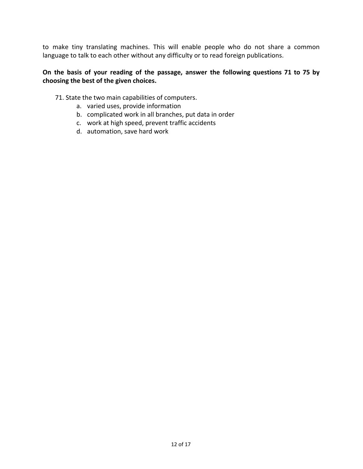to make tiny translating machines. This will enable people who do not share a common language to talk to each other without any difficulty or to read foreign publications.

# **On the basis of your reading of the passage, answer the following questions 71 to 75 by choosing the best of the given choices.**

# 71. State the two main capabilities of computers.

- a. varied uses, provide information
- b. complicated work in all branches, put data in order
- c. work at high speed, prevent traffic accidents
- d. automation, save hard work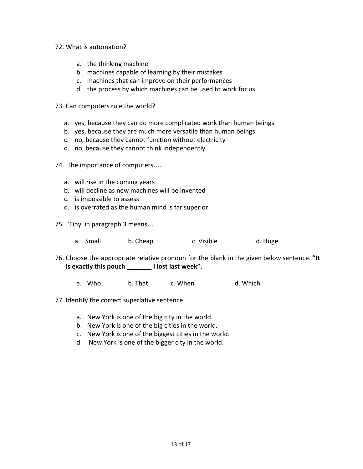- 72. What is automation?
	- a. the thinking machine
	- b. machines capable of learning by their mistakes
	- c. machines that can improve on their performances
	- d. the process by which machines can be used to work for us
- 73. Can computers rule the world?
	- a. yes, because they can do more complicated work than human beings
	- b. yes, because they are much more versatile than human beings
	- c. no, because they cannot function without electricity
	- d. no, because they cannot think independently
- 74. The importance of computers….
	- a. will rise in the coming years
	- b. will decline as new machines will be invented
	- c. is impossible to assess
	- d. is overrated as the human mind is far superior
- 75. 'Tiny' in paragraph 3 means…
	- a. Small b. Cheap c. Visible d. Huge
- 76. Choose the appropriate relative pronoun for the blank in the given below sentence. **"It is exactly this pouch \_\_\_\_\_\_\_ I lost last week".**
	- a. Who b. That c. When d. Which
- 77. Identify the correct superlative sentence.
	- a. New York is one of the big city in the world.
	- b. New York is one of the big cities in the world.
	- c. New York is one of the biggest cities in the world.
	- d. New York is one of the bigger city in the world.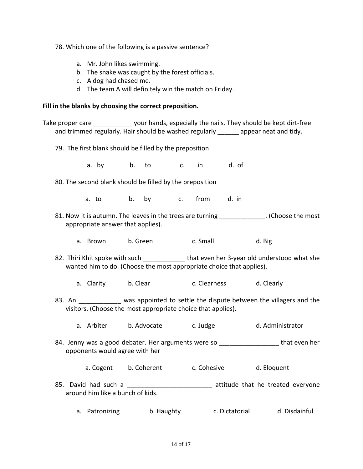78. Which one of the following is a passive sentence?

- a. Mr. John likes swimming.
- b. The snake was caught by the forest officials.
- c. A dog had chased me.
- d. The team A will definitely win the match on Friday.

### **Fill in the blanks by choosing the correct preposition.**

Take proper care The solut hands, especially the nails. They should be kept dirt-free and trimmed regularly. Hair should be washed regularly appear neat and tidy.

79. The first blank should be filled by the preposition

a. by b. to c. in d. of

- 80. The second blank should be filled by the preposition
	- a. to b. by c. from d. in
- 81. Now it is autumn. The leaves in the trees are turning \_\_\_\_\_\_\_\_\_\_\_\_\_. (Choose the most appropriate answer that applies).
	- a. Brown b. Green c. Small b. Big
- 82. Thiri Khit spoke with such deed that even her 3-year old understood what she wanted him to do. (Choose the most appropriate choice that applies).
	- a. Clarity b. Clear c. Clearness d. Clearly
- 83. An was appointed to settle the dispute between the villagers and the visitors. (Choose the most appropriate choice that applies).
	- a. Arbiter b. Advocate c. Judge d. Administrator
- 84. Jenny was a good debater. Her arguments were so \_\_\_\_\_\_\_\_\_\_\_\_\_\_\_\_\_\_\_\_\_ that even her opponents would agree with her
	- a. Cogent b. Coherent c. Cohesive d. Eloquent
- 85. David had such a \_\_\_\_\_\_\_\_\_\_\_\_\_\_\_\_\_\_\_\_\_\_\_\_\_\_\_ attitude that he treated everyone around him like a bunch of kids.
	- a. Patronizing b. Haughty c. Dictatorial d. Disdainful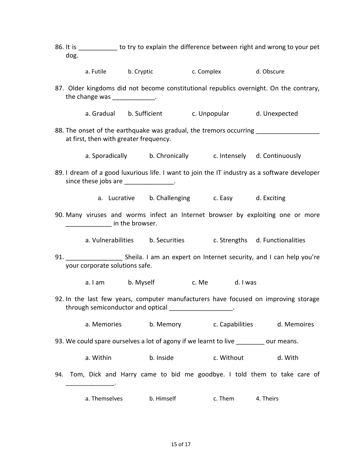- 86. It is \_\_\_\_\_\_\_\_\_\_\_ to try to explain the difference between right and wrong to your pet dog.
	- a. Futile b. Cryptic c. Complex d. Obscure
- 87. Older kingdoms did not become constitutional republics overnight. On the contrary, the change was  $\qquad \qquad$ .
	- a. Gradual b. Sufficient c. Unpopular d. Unexpected
- 88. The onset of the earthquake was gradual, the tremors occurring at first, then with greater frequency.
	- a. Sporadically b. Chronically c. Intensely d. Continuously
- 89. I dream of a good luxurious life. I want to join the IT industry as a software developer since these jobs are **which is a set of the set of the set of the set of the set of the set of the set of the s** 
	- a. Lucrative b. Challenging c. Easy d. Exciting
- 90. Many viruses and worms infect an Internet browser by exploiting one or more \_\_\_\_\_\_\_\_\_\_\_\_\_\_ in the browser.
	- a. Vulnerabilities b. Securities c. Strengths d. Functionalities
- 91. Sheila. I am an expert on Internet security, and I can help you're your corporate solutions safe.
	- a. I am b. Myself c. Me d. I was
- 92. In the last few years, computer manufacturers have focused on improving storage through semiconductor and optical \_\_\_\_\_\_\_\_\_\_\_\_\_\_\_\_\_\_\_\_.
	- a. Memories b. Memory c. Capabilities d. Memoires
- 93. We could spare ourselves a lot of agony if we learnt to live \_\_\_\_\_\_\_\_ our means.

\_\_\_\_\_\_\_\_\_\_\_\_\_\_\_.

- a. Within b. Inside c. Without d. With
- 94. Tom, Dick and Harry came to bid me goodbye. I told them to take care of
	- a. Themselves b. Himself c. Them 4. Theirs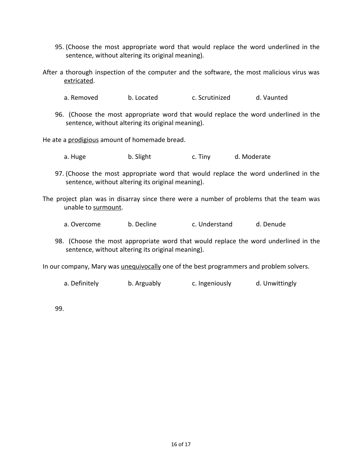- 95. (Choose the most appropriate word that would replace the word underlined in the sentence, without altering its original meaning).
- After a thorough inspection of the computer and the software, the most malicious virus was extricated.
	- a. Removed b. Located c. Scrutinized d. Vaunted
	- 96. (Choose the most appropriate word that would replace the word underlined in the sentence, without altering its original meaning).

He ate a prodigious amount of homemade bread.

- a. Huge b. Slight c. Tiny d. Moderate
- 97. (Choose the most appropriate word that would replace the word underlined in the sentence, without altering its original meaning).
- The project plan was in disarray since there were a number of problems that the team was unable to surmount.
	- a. Overcome b. Decline c. Understand d. Denude
	- 98. (Choose the most appropriate word that would replace the word underlined in the sentence, without altering its original meaning).

In our company, Mary was *unequivocally* one of the best programmers and problem solvers.

a. Definitely b. Arguably c. Ingeniously d. Unwittingly

99.